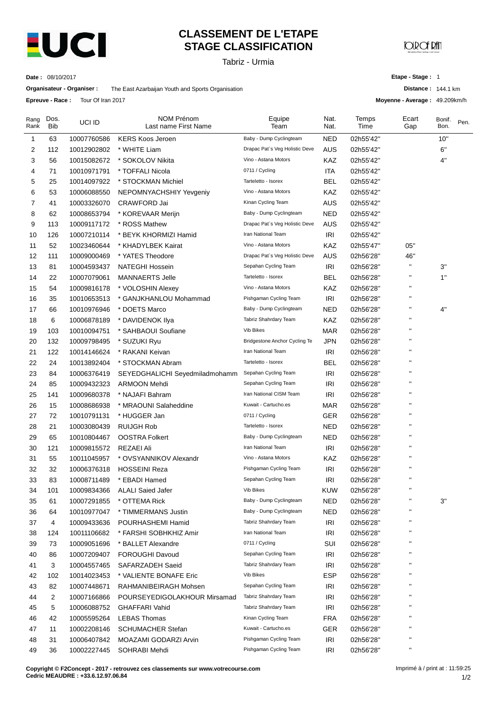

# **CLASSEMENT DE L'ETAPE STAGE CLASSIFICATION**

Tabriz - Urmia

**CORCE PM** 

**Date :** 08/10/2017

**Organisateur - Organiser :** The East Azarbaijan Youth and Sports Organisation

**Etape - Stage :** 1

**Distance :** 144.1 km

**Moyenne - Average :** 49.209km/h

**Epreuve - Race :** Tour Of Iran 2017

| Rang<br>Rank | Dos.<br><b>Bib</b> | UCI ID      | <b>NOM Prénom</b><br>Last name First Name | Equipe<br>Team                 | Nat.<br>Nat. | Temps<br>Time | Ecart<br>Gap       | Bonif.<br>Bon. | Pen. |
|--------------|--------------------|-------------|-------------------------------------------|--------------------------------|--------------|---------------|--------------------|----------------|------|
| 1            | 63                 | 10007760586 | <b>KERS Koos Jeroen</b>                   | Baby - Dump Cyclingteam        | <b>NED</b>   | 02h55'42"     |                    | 10"            |      |
| 2            | 112                | 10012902802 | * WHITE Liam                              | Drapac Pat's Veg Holistic Deve | AUS          | 02h55'42"     |                    | 6"             |      |
| 3            | 56                 | 10015082672 | * SOKOLOV Nikita                          | Vino - Astana Motors           | KAZ          | 02h55'42"     |                    | 4"             |      |
| 4            | 71                 | 10010971791 | * TOFFALI Nicola                          | 0711 / Cycling                 | ITA          | 02h55'42"     |                    |                |      |
| 5            | 25                 | 10014097922 | * STOCKMAN Michiel                        | Tarteletto - Isorex            | BEL          | 02h55'42"     |                    |                |      |
| 6            | 53                 | 10006088550 | NEPOMNYACHSHIY Yevgeniy                   | Vino - Astana Motors           | KAZ          | 02h55'42"     |                    |                |      |
| 7            | 41                 | 10003326070 | CRAWFORD Jai                              | Kinan Cycling Team             | <b>AUS</b>   | 02h55'42"     |                    |                |      |
| 8            | 62                 | 10008653794 | * KOREVAAR Merijn                         | Baby - Dump Cyclingteam        | <b>NED</b>   | 02h55'42"     |                    |                |      |
| 9            | 113                | 10009117172 | * ROSS Mathew                             | Drapac Pat's Veg Holistic Deve | AUS          | 02h55'42"     |                    |                |      |
| 10           | 126                | 10007210114 | * BEYK KHORMIZI Hamid                     | Iran National Team             | <b>IRI</b>   | 02h55'42"     |                    |                |      |
| 11           | 52                 | 10023460644 | * KHADYLBEK Kairat                        | Vino - Astana Motors           | KAZ          | 02h55'47"     | 05"                |                |      |
| 12           | 111                | 10009000469 | * YATES Theodore                          | Drapac Pat's Veg Holistic Deve | <b>AUS</b>   | 02h56'28"     | 46"                |                |      |
| 13           | 81                 | 10004593437 | <b>NATEGHI Hossein</b>                    | Sepahan Cycling Team           | IRI          | 02h56'28"     | п                  | 3"             |      |
| 14           | 22                 | 10007079061 | <b>MANNAERTS Jelle</b>                    | Tarteletto - Isorex            | BEL          | 02h56'28"     | п                  | 1"             |      |
| 15           | 54                 | 10009816178 | * VOLOSHIN Alexey                         | Vino - Astana Motors           | KAZ          | 02h56'28"     | п                  |                |      |
| 16           | 35                 | 10010653513 | * GANJKHANLOU Mohammad                    | Pishgaman Cycling Team         | IRI          | 02h56'28"     | $\blacksquare$     |                |      |
| 17           | 66                 | 10010976946 | * DOETS Marco                             | Baby - Dump Cyclingteam        | <b>NED</b>   | 02h56'28"     | п                  | 4"             |      |
| 18           | 6                  | 10006878189 | * DAVIDENOK Ilya                          | Tabriz Shahrdary Team          | KAZ          | 02h56'28"     | $\pmb{\mathsf{H}}$ |                |      |
| 19           | 103                | 10010094751 | * SAHBAOUI Soufiane                       | Vib Bikes                      | <b>MAR</b>   | 02h56'28"     | п                  |                |      |
| 20           | 132                | 10009798495 | * SUZUKI Ryu                              | Bridgestone Anchor Cycling Te  | <b>JPN</b>   | 02h56'28"     | п                  |                |      |
| 21           | 122                | 10014146624 | * RAKANI Keivan                           | Iran National Team             | <b>IRI</b>   | 02h56'28"     | п                  |                |      |
| 22           | 24                 | 10013892404 | * STOCKMAN Abram                          | Tarteletto - Isorex            | BEL          | 02h56'28"     | п                  |                |      |
| 23           | 84                 | 10006376419 | SEYEDGHALICHI Seyedmiladmohamm            | Sepahan Cycling Team           | <b>IRI</b>   | 02h56'28"     | п                  |                |      |
| 24           | 85                 | 10009432323 | <b>ARMOON Mehdi</b>                       | Sepahan Cycling Team           | IRI          | 02h56'28"     | п                  |                |      |
| 25           | 141                | 10009680378 | * NAJAFI Bahram                           | Iran National CISM Team        | <b>IRI</b>   | 02h56'28"     | п                  |                |      |
| 26           | 15                 | 10008686938 | * MRAOUNI Salaheddine                     | Kuwait - Cartucho.es           | <b>MAR</b>   | 02h56'28"     | п                  |                |      |
| 27           | 72                 | 10010791131 | * HUGGER Jan                              | 0711 / Cycling                 | GER          | 02h56'28"     | п                  |                |      |
| 28           | 21                 | 10003080439 | <b>RUIJGH Rob</b>                         | Tarteletto - Isorex            | <b>NED</b>   | 02h56'28"     | п                  |                |      |
| 29           | 65                 | 10010804467 | <b>OOSTRA Folkert</b>                     | Baby - Dump Cyclingteam        | NED          | 02h56'28"     | п                  |                |      |
| 30           | 121                | 10009815572 | REZAEI Ali                                | Iran National Team             | IRI          | 02h56'28"     | п                  |                |      |
| 31           | 55                 | 10011045957 | * OVSYANNIKOV Alexandr                    | Vino - Astana Motors           | KAZ          | 02h56'28"     | п                  |                |      |
| 32           | 32                 | 10006376318 | <b>HOSSEINI Reza</b>                      | Pishgaman Cycling Team         | IRI          | 02h56'28"     | п                  |                |      |
| 33           | 83                 | 10008711489 | * EBADI Hamed                             | Sepahan Cycling Team           | IRI          | 02h56'28"     | $\pmb{\mathsf{H}}$ |                |      |
| 34           | 101                | 10009834366 | <b>ALALI Saied Jafer</b>                  | Vib Bikes                      | <b>KUW</b>   | 02h56'28"     | $\blacksquare$     |                |      |
| 35           | 61                 | 10007291855 | * OTTEMA Rick                             | Baby - Dump Cyclingteam        | <b>NED</b>   | 02h56'28"     | п                  | 3"             |      |
| 36           | 64                 | 10010977047 | * TIMMERMANS Justin                       | Baby - Dump Cyclingteam        | <b>NED</b>   | 02h56'28"     | п                  |                |      |
| 37           | 4                  | 10009433636 | POURHASHEMI Hamid                         | Tabriz Shahrdary Team          | IRI          | 02h56'28"     | п                  |                |      |
| 38           | 124                | 10011106682 | * FARSHI SOBHKHIZ Amir                    | Iran National Team             | IRI          | 02h56'28"     | п                  |                |      |
| 39           | 73                 | 10009051696 | * BALLET Alexandre                        | 0711 / Cycling                 | SUI          | 02h56'28"     |                    |                |      |
| 40           | 86                 | 10007209407 | <b>FOROUGHI Davoud</b>                    | Sepahan Cycling Team           | IRI          | 02h56'28"     | п                  |                |      |
| 41           | 3                  | 10004557465 | SAFARZADEH Saeid                          | Tabriz Shahrdary Team          | IRI          | 02h56'28"     | п                  |                |      |
| 42           | 102                | 10014023453 | * VALIENTE BONAFE Eric                    | Vib Bikes                      | <b>ESP</b>   | 02h56'28"     | п                  |                |      |
| 43           | 82                 | 10007448671 | RAHMANIBEIRAGH Mohsen                     | Sepahan Cycling Team           | <b>IRI</b>   | 02h56'28"     | п                  |                |      |
| 44           | 2                  | 10007166866 | POURSEYEDIGOLAKHOUR Mirsamad              | Tabriz Shahrdary Team          | IRI          | 02h56'28"     | п                  |                |      |
| 45           | 5                  | 10006088752 | <b>GHAFFARI Vahid</b>                     | Tabriz Shahrdary Team          | IRI          | 02h56'28"     | п                  |                |      |
| 46           | 42                 | 10005595264 | <b>LEBAS Thomas</b>                       | Kinan Cycling Team             | <b>FRA</b>   | 02h56'28"     | п                  |                |      |
| 47           | 11                 | 10002208146 | <b>SCHUMACHER Stefan</b>                  | Kuwait - Cartucho.es           | <b>GER</b>   | 02h56'28"     | п                  |                |      |
| 48           | 31                 | 10006407842 | MOAZAMI GODARZI Arvin                     | Pishgaman Cycling Team         | IRI          | 02h56'28"     | п                  |                |      |
| 49           | 36                 | 10002227445 | SOHRABI Mehdi                             | Pishgaman Cycling Team         | <b>IRI</b>   | 02h56'28"     | $\blacksquare$     |                |      |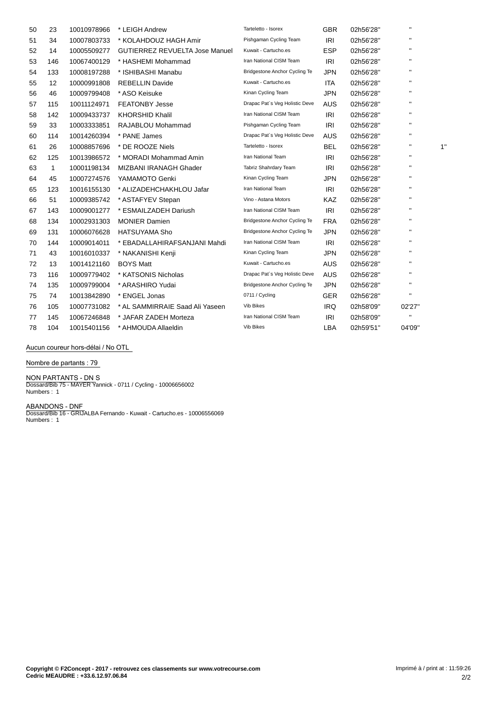| 50 | 23           | 10010978966 | * LEIGH Andrew                        | Tarteletto - Isorex            | <b>GBR</b> | 02h56'28" | $\mathbf{H}$   |    |
|----|--------------|-------------|---------------------------------------|--------------------------------|------------|-----------|----------------|----|
| 51 | 34           | 10007803733 | * KOLAHDOUZ HAGH Amir                 | Pishgaman Cycling Team         | IRI        | 02h56'28" | $\mathbf{H}$   |    |
| 52 | 14           | 10005509277 | <b>GUTIERREZ REVUELTA Jose Manuel</b> | Kuwait - Cartucho.es           | <b>ESP</b> | 02h56'28" |                |    |
| 53 | 146          | 10067400129 | * HASHEMI Mohammad                    | Iran National CISM Team        | <b>IRI</b> | 02h56'28" |                |    |
| 54 | 133          | 10008197288 | * ISHIBASHI Manabu                    | Bridgestone Anchor Cycling Te  | <b>JPN</b> | 02h56'28" | $\mathbf{H}$   |    |
| 55 | 12           | 10000991808 | <b>REBELLIN Davide</b>                | Kuwait - Cartucho.es           | <b>ITA</b> | 02h56'28" | $\blacksquare$ |    |
| 56 | 46           | 10009799408 | * ASO Keisuke                         | Kinan Cycling Team             | <b>JPN</b> | 02h56'28" | $\mathbf{H}$   |    |
| 57 | 115          | 10011124971 | <b>FEATONBY Jesse</b>                 | Drapac Pat's Veg Holistic Deve | <b>AUS</b> | 02h56'28" |                |    |
| 58 | 142          | 10009433737 | <b>KHORSHID Khalil</b>                | Iran National CISM Team        | IRI        | 02h56'28" | $\blacksquare$ |    |
| 59 | 33           | 10003333851 | RAJABLOU Mohammad                     | Pishgaman Cycling Team         | <b>IRI</b> | 02h56'28" | $\mathbf{H}$   |    |
| 60 | 114          | 10014260394 | * PANE James                          | Drapac Pat's Veg Holistic Deve | <b>AUS</b> | 02h56'28" | $\blacksquare$ |    |
| 61 | 26           | 10008857696 | * DE ROOZE Niels                      | Tarteletto - Isorex            | <b>BEL</b> | 02h56'28" | $\blacksquare$ | 1' |
| 62 | 125          | 10013986572 | * MORADI Mohammad Amin                | Iran National Team             | <b>IRI</b> | 02h56'28" | $\mathbf{H}$   |    |
| 63 | $\mathbf{1}$ | 10001198134 | MIZBANI IRANAGH Ghader                | Tabriz Shahrdary Team          | IRI        | 02h56'28" | $\mathbf{H}$   |    |
| 64 | 45           | 10007274576 | YAMAMOTO Genki                        | Kinan Cycling Team             | <b>JPN</b> | 02h56'28" | п              |    |
| 65 | 123          | 10016155130 | * ALIZADEHCHAKHLOU Jafar              | Iran National Team             | IRI        | 02h56'28" | $\blacksquare$ |    |
| 66 | 51           | 10009385742 | * ASTAFYEV Stepan                     | Vino - Astana Motors           | <b>KAZ</b> | 02h56'28" |                |    |
| 67 | 143          | 10009001277 | * ESMAILZADEH Dariush                 | Iran National CISM Team        | <b>IRI</b> | 02h56'28" | п              |    |
| 68 | 134          | 10002931303 | <b>MONIER Damien</b>                  | Bridgestone Anchor Cycling Te  | <b>FRA</b> | 02h56'28" | $\blacksquare$ |    |
| 69 | 131          | 10006076628 | <b>HATSUYAMA Sho</b>                  | Bridgestone Anchor Cycling Te  | <b>JPN</b> | 02h56'28" | $\mathbf{H}$   |    |
| 70 | 144          | 10009014011 | * EBADALLAHIRAFSANJANI Mahdi          | Iran National CISM Team        | IRI        | 02h56'28" | $\blacksquare$ |    |
| 71 | 43           | 10016010337 | * NAKANISHI Kenji                     | Kinan Cycling Team             | <b>JPN</b> | 02h56'28" |                |    |
| 72 | 13           | 10014121160 | <b>BOYS Matt</b>                      | Kuwait - Cartucho.es           | <b>AUS</b> | 02h56'28" | $\mathbf{H}$   |    |
| 73 | 116          | 10009779402 | * KATSONIS Nicholas                   | Drapac Pat's Veg Holistic Deve | <b>AUS</b> | 02h56'28" | $\mathbf{H}$   |    |
| 74 | 135          | 10009799004 | * ARASHIRO Yudai                      | Bridgestone Anchor Cycling Te  | <b>JPN</b> | 02h56'28" | $\mathbf{H}$   |    |
| 75 | 74           | 10013842890 | * ENGEL Jonas                         | 0711 / Cycling                 | <b>GER</b> | 02h56'28" | $\mathbf{H}$   |    |
| 76 | 105          | 10007731082 | * AL SAMMIRRAIE Saad Ali Yaseen       | <b>Vib Bikes</b>               | <b>IRQ</b> | 02h58'09" | 02'27"         |    |
| 77 | 145          | 10067246848 | * JAFAR ZADEH Morteza                 | Iran National CISM Team        | IRI        | 02h58'09" | $\mathbf{H}$   |    |
| 78 | 104          | 10015401156 | * AHMOUDA Allaeldin                   | <b>Vib Bikes</b>               | <b>LBA</b> | 02h59'51" | 04'09"         |    |

Aucun coureur hors-délai / No OTL

**Nombre de partants : 79**

**NON PARTANTS - DN** S Dossard/Bib 75 - MAYER Yannick - 0711 / Cycling - 10006656002 Numbers : 1

**ABANDONS - DNF** Dossard/Bib 16 - GRIJALBA Fernando - Kuwait - Cartucho.es - 10006556069 Numbers : 1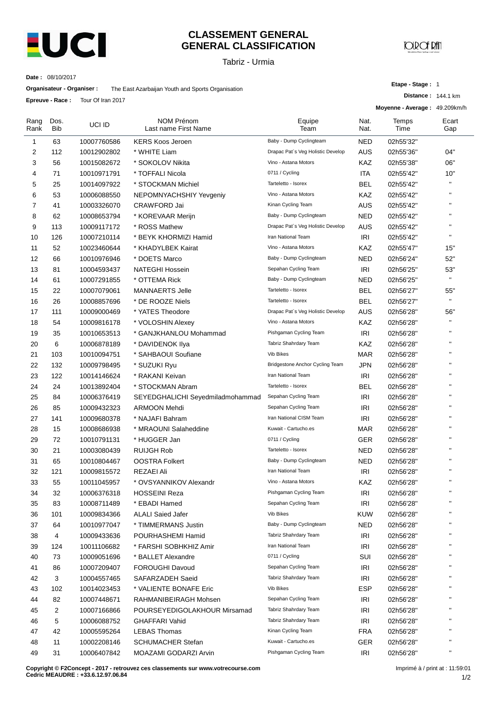

## **CLASSEMENT GENERAL GENERAL CLASSIFICATION**

Tabriz - Urmia

**JOROF RAT** 

**Etape - Stage :** 1

**Distance :** 144.1 km

**Date :** 08/10/2017

| Organisateur - Organiser : | The East Azarbaijan Youth and Sports Organisation |
|----------------------------|---------------------------------------------------|
|----------------------------|---------------------------------------------------|

**Epreuve - Race :** Tour Of Iran 2017

|              | ⊏preuve - Race : | <b>TOUT OF IREL ZUT?</b> |                                    |                                   |              | Moyenne - Average: 49.209km/h |              |
|--------------|------------------|--------------------------|------------------------------------|-----------------------------------|--------------|-------------------------------|--------------|
| Rang<br>Rank | Dos.<br>Bib      | UCI ID                   | NOM Prénom<br>Last name First Name | Equipe<br>Team                    | Nat.<br>Nat. | Temps<br>Time                 | Ecart<br>Gap |
| 1            | 63               | 10007760586              | <b>KERS Koos Jeroen</b>            | Baby - Dump Cyclingteam           | <b>NED</b>   | 02h55'32"                     |              |
| 2            | 112              | 10012902802              | * WHITE Liam                       | Drapac Pat's Veg Holistic Develop | <b>AUS</b>   | 02h55'36"                     | 04"          |
| 3            | 56               | 10015082672              | * SOKOLOV Nikita                   | Vino - Astana Motors              | KAZ          | 02h55'38"                     | 06"          |
| 4            | 71               | 10010971791              | * TOFFALI Nicola                   | 0711 / Cycling                    | ITA          | 02h55'42"                     | 10"          |
| 5            | 25               | 10014097922              | * STOCKMAN Michiel                 | Tarteletto - Isorex               | BEL          | 02h55'42"                     | п            |
| 6            | 53               | 10006088550              | NEPOMNYACHSHIY Yevgeniy            | Vino - Astana Motors              | KAZ          | 02h55'42"                     | $\mathbf{H}$ |
| 7            | 41               | 10003326070              | CRAWFORD Jai                       | Kinan Cycling Team                | <b>AUS</b>   | 02h55'42"                     | $\mathbf{H}$ |
| 8            | 62               | 10008653794              | * KOREVAAR Merijn                  | Baby - Dump Cyclingteam           | <b>NED</b>   | 02h55'42"                     | $\mathbf{H}$ |
| 9            | 113              | 10009117172              | * ROSS Mathew                      | Drapac Pat's Veg Holistic Develop | <b>AUS</b>   | 02h55'42"                     | $\mathbf{H}$ |
| 10           | 126              | 10007210114              | * BEYK KHORMIZI Hamid              | Iran National Team                | IRI          | 02h55'42"                     | $\mathbf{H}$ |
| 11           | 52               | 10023460644              | * KHADYLBEK Kairat                 | Vino - Astana Motors              | KAZ          | 02h55'47"                     | 15"          |
| 12           | 66               | 10010976946              | * DOETS Marco                      | Baby - Dump Cyclingteam           | NED          | 02h56'24"                     | 52"          |
| 13           | 81               | 10004593437              | <b>NATEGHI Hossein</b>             | Sepahan Cycling Team              | IRI          | 02h56'25"                     | 53"          |
| 14           | 61               | 10007291855              | * OTTEMA Rick                      | Baby - Dump Cyclingteam           | <b>NED</b>   | 02h56'25"                     | $\mathbf{u}$ |
| 15           | 22               | 10007079061              | <b>MANNAERTS Jelle</b>             | Tarteletto - Isorex               | <b>BEL</b>   | 02h56'27"                     | 55"          |
| 16           | 26               | 10008857696              | * DE ROOZE Niels                   | Tarteletto - Isorex               | <b>BEL</b>   | 02h56'27"                     | $\mathbf{u}$ |
| 17           | 111              | 10009000469              | * YATES Theodore                   | Drapac Pat's Veg Holistic Develop | <b>AUS</b>   | 02h56'28"                     | 56"          |
| 18           | 54               | 10009816178              | * VOLOSHIN Alexey                  | Vino - Astana Motors              | KAZ          | 02h56'28"                     | $\mathbf{H}$ |
| 19           | 35               | 10010653513              | * GANJKHANLOU Mohammad             | Pishgaman Cycling Team            | IRI          | 02h56'28"                     | $\mathbf{H}$ |
| 20           | 6                | 10006878189              | * DAVIDENOK Ilya                   | Tabriz Shahrdary Team             | KAZ          | 02h56'28"                     | $\mathbf{H}$ |
| 21           | 103              | 10010094751              | * SAHBAOUI Soufiane                | Vib Bikes                         | MAR          | 02h56'28"                     | $\mathbf{H}$ |
| 22           | 132              | 10009798495              | * SUZUKI Ryu                       | Bridgestone Anchor Cycling Team   | <b>JPN</b>   | 02h56'28"                     | $\mathbf{H}$ |
| 23           | 122              | 10014146624              | * RAKANI Keivan                    | Iran National Team                | IRI          | 02h56'28"                     | $\mathbf{H}$ |
| 24           | 24               | 10013892404              | * STOCKMAN Abram                   | Tarteletto - Isorex               | BEL          | 02h56'28"                     | $\mathbf{H}$ |
| 25           | 84               | 10006376419              | SEYEDGHALICHI Seyedmiladmohammad   | Sepahan Cycling Team              | IRI          | 02h56'28"                     | $\mathbf{H}$ |
| 26           | 85               | 10009432323              | ARMOON Mehdi                       | Sepahan Cycling Team              | <b>IRI</b>   | 02h56'28"                     | $\mathbf{H}$ |
| 27           | 141              | 10009680378              | * NAJAFI Bahram                    | Iran National CISM Team           | IRI          | 02h56'28"                     | п            |
| 28           | 15               | 10008686938              | * MRAOUNI Salaheddine              | Kuwait - Cartucho.es              | <b>MAR</b>   | 02h56'28"                     | $\mathbf{H}$ |
| 29           | 72               | 10010791131              | * HUGGER Jan                       | 0711 / Cycling                    | <b>GER</b>   | 02h56'28"                     | $\mathbf{H}$ |
| 30           | 21               | 10003080439              | RUIJGH Rob                         | Tarteletto - Isorex               | NED          | 02h56'28"                     | $\mathbf{H}$ |
| 31           | 65               | 10010804467              | <b>OOSTRA Folkert</b>              | Baby - Dump Cyclingteam           | <b>NED</b>   | 02h56'28"                     | $\mathbf{H}$ |
| 32           | 121              | 10009815572              | <b>REZAEI Ali</b>                  | Iran National Team                | IRI          | 02h56'28"                     | $\mathbf{H}$ |
| 33           | 55               | 10011045957              | * OVSYANNIKOV Alexandr             | Vino - Astana Motors              | KAZ          | 02h56'28"                     | $\mathbf{H}$ |
| 34           | 32               | 10006376318              | HOSSEINI Reza                      | Pishgaman Cycling Team            | <b>IRI</b>   | 02h56'28"                     | п            |
| 35           | 83               | 10008711489              | * EBADI Hamed                      | Sepahan Cycling Team              | IRI          | 02h56'28"                     | П            |
| 36           | 101              | 10009834366              | <b>ALALI Saied Jafer</b>           | Vib Bikes                         | <b>KUW</b>   | 02h56'28"                     | п            |
| 37           | 64               | 10010977047              | * TIMMERMANS Justin                | Baby - Dump Cyclingteam           | NED          | 02h56'28"                     | п            |
| 38           | 4                | 10009433636              | POURHASHEMI Hamid                  | Tabriz Shahrdary Team             | IRI          | 02h56'28"                     | $\mathbf{H}$ |
| 39           | 124              | 10011106682              | * FARSHI SOBHKHIZ Amir             | Iran National Team                | <b>IRI</b>   | 02h56'28"                     | п            |
| 40           | 73               | 10009051696              | * BALLET Alexandre                 | 0711 / Cycling                    | SUI          | 02h56'28"                     | Н            |
| 41           | 86               | 10007209407              | FOROUGHI Davoud                    | Sepahan Cycling Team              | IRI          | 02h56'28"                     | П            |
| 42           | 3                | 10004557465              | SAFARZADEH Saeid                   | Tabriz Shahrdary Team             | IRI          | 02h56'28"                     | Н            |
| 43           | 102              | 10014023453              | * VALIENTE BONAFE Eric             | Vib Bikes                         | <b>ESP</b>   | 02h56'28"                     | п            |
| 44           | 82               |                          | RAHMANIBEIRAGH Mohsen              | Sepahan Cycling Team              | IRI          |                               | п            |
| 45           | $\overline{2}$   | 10007448671              |                                    | Tabriz Shahrdary Team             | IRI          | 02h56'28"                     | $\mathbf{H}$ |
|              |                  | 10007166866              | POURSEYEDIGOLAKHOUR Mirsamad       | Tabriz Shahrdary Team             |              | 02h56'28"                     | п            |
| 46           | 5                | 10006088752              | <b>GHAFFARI Vahid</b>              | Kinan Cycling Team                | IRI          | 02h56'28"                     | $\mathbf{H}$ |
| 47           | 42               | 10005595264              | <b>LEBAS Thomas</b>                | Kuwait - Cartucho.es              | <b>FRA</b>   | 02h56'28"                     | $\mathbf{H}$ |
| 48           | 11               | 10002208146              | <b>SCHUMACHER Stefan</b>           |                                   | <b>GER</b>   | 02h56'28"                     | Ħ            |
| 49           | 31               | 10006407842              | MOAZAMI GODARZI Arvin              | Pishgaman Cycling Team            | IRI          | 02h56'28"                     |              |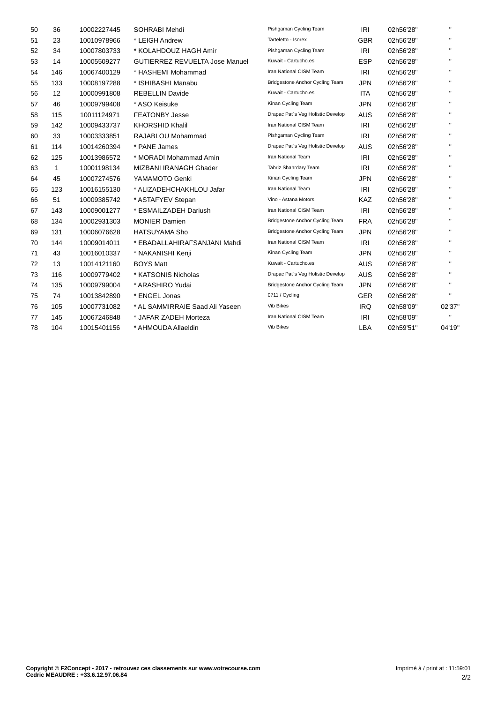| 50 | 36                | 10002227445 | <b>SOHRABI Mehdi</b>                  | Pishgaman Cycling Team            | <b>IRI</b> | 02h56'28" | $\mathbf{H}$ |
|----|-------------------|-------------|---------------------------------------|-----------------------------------|------------|-----------|--------------|
| 51 | 23                | 10010978966 | * LEIGH Andrew                        | Tarteletto - Isorex               | <b>GBR</b> | 02h56'28" | $\mathbf{H}$ |
| 52 | 34                | 10007803733 | * KOLAHDOUZ HAGH Amir                 | Pishgaman Cycling Team            | IRI        | 02h56'28" | $\mathbf{H}$ |
| 53 | 14                | 10005509277 | <b>GUTIERREZ REVUELTA Jose Manuel</b> | Kuwait - Cartucho.es              | <b>ESP</b> | 02h56'28" | $\mathbf{H}$ |
| 54 | 146               | 10067400129 | * HASHEMI Mohammad                    | Iran National CISM Team           | IRI        | 02h56'28" | $\mathbf{H}$ |
| 55 | 133               | 10008197288 | * ISHIBASHI Manabu                    | Bridgestone Anchor Cycling Team   | <b>JPN</b> | 02h56'28" | $\mathbf{H}$ |
| 56 | $12 \overline{ }$ | 10000991808 | <b>REBELLIN Davide</b>                | Kuwait - Cartucho.es              | <b>ITA</b> | 02h56'28" | $\mathbf{H}$ |
| 57 | 46                | 10009799408 | * ASO Keisuke                         | Kinan Cycling Team                | <b>JPN</b> | 02h56'28" | $\mathbf{H}$ |
| 58 | 115               | 10011124971 | <b>FEATONBY Jesse</b>                 | Drapac Pat's Veg Holistic Develop | <b>AUS</b> | 02h56'28" | $\mathbf{H}$ |
| 59 | 142               | 10009433737 | <b>KHORSHID Khalil</b>                | Iran National CISM Team           | IRI        | 02h56'28" | $\mathbf{H}$ |
| 60 | 33                | 10003333851 | RAJABLOU Mohammad                     | Pishgaman Cycling Team            | IRI        | 02h56'28" | $\mathbf{H}$ |
| 61 | 114               | 10014260394 | * PANE James                          | Drapac Pat's Veg Holistic Develop | <b>AUS</b> | 02h56'28" | $\mathbf{H}$ |
| 62 | 125               | 10013986572 | * MORADI Mohammad Amin                | Iran National Team                | <b>IRI</b> | 02h56'28" | $\mathbf{H}$ |
| 63 | $\mathbf{1}$      | 10001198134 | MIZBANI IRANAGH Ghader                | Tabriz Shahrdary Team             | <b>IRI</b> | 02h56'28" | $\mathbf{H}$ |
| 64 | 45                | 10007274576 | YAMAMOTO Genki                        | Kinan Cycling Team                | <b>JPN</b> | 02h56'28" | $\mathbf{H}$ |
| 65 | 123               | 10016155130 | * ALIZADEHCHAKHLOU Jafar              | Iran National Team                | IRI        | 02h56'28" | $\mathbf{H}$ |
| 66 | 51                | 10009385742 | * ASTAFYEV Stepan                     | Vino - Astana Motors              | <b>KAZ</b> | 02h56'28" | $\mathbf{H}$ |
| 67 | 143               | 10009001277 | * ESMAILZADEH Dariush                 | Iran National CISM Team           | IRI        | 02h56'28" | $\mathbf{H}$ |
| 68 | 134               | 10002931303 | <b>MONIER Damien</b>                  | Bridgestone Anchor Cycling Team   | <b>FRA</b> | 02h56'28" | $\mathbf{H}$ |
| 69 | 131               | 10006076628 | <b>HATSUYAMA Sho</b>                  | Bridgestone Anchor Cycling Team   | <b>JPN</b> | 02h56'28" | $\mathbf{H}$ |
| 70 | 144               | 10009014011 | * EBADALLAHIRAFSANJANI Mahdi          | Iran National CISM Team           | <b>IRI</b> | 02h56'28" | $\mathbf{H}$ |
| 71 | 43                | 10016010337 | * NAKANISHI Kenji                     | Kinan Cycling Team                | <b>JPN</b> | 02h56'28" | $\mathbf{H}$ |
| 72 | 13                | 10014121160 | <b>BOYS Matt</b>                      | Kuwait - Cartucho.es              | <b>AUS</b> | 02h56'28" | $\mathbf{H}$ |
| 73 | 116               | 10009779402 | * KATSONIS Nicholas                   | Drapac Pat's Veg Holistic Develop | <b>AUS</b> | 02h56'28" | $\mathbf{H}$ |
| 74 | 135               | 10009799004 | * ARASHIRO Yudai                      | Bridgestone Anchor Cycling Team   | <b>JPN</b> | 02h56'28" | $\mathbf{H}$ |
| 75 | 74                | 10013842890 | * ENGEL Jonas                         | 0711 / Cycling                    | <b>GER</b> | 02h56'28" | $\mathbf{H}$ |
| 76 | 105               | 10007731082 | * AL SAMMIRRAIE Saad Ali Yaseen       | <b>Vib Bikes</b>                  | <b>IRQ</b> | 02h58'09" | 02'37"       |
| 77 | 145               | 10067246848 | * JAFAR ZADEH Morteza                 | Iran National CISM Team           | IRI        | 02h58'09" | $\mathbf{H}$ |
| 78 | 104               | 10015401156 | * AHMOUDA Allaeldin                   | Vib Bikes                         | LBA        | 02h59'51" | 04'19"       |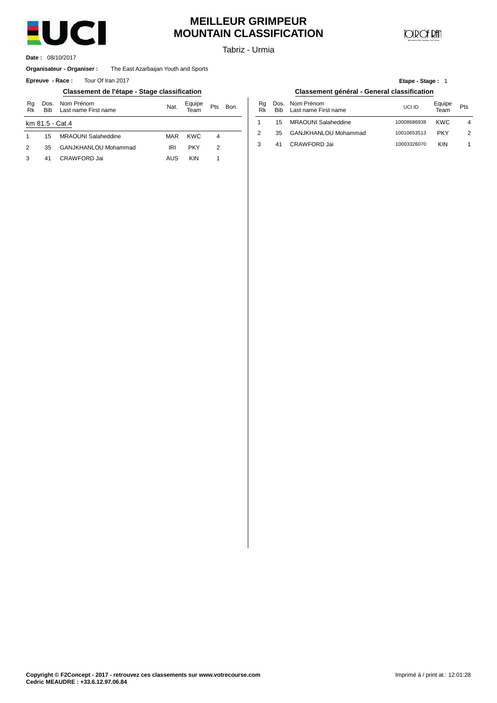

# **MEILLEUR GRIMPEUR MOUNTAIN CLASSIFICATION**

**JOIR OF RATI** 

**Etape - Stage :** 1

Tabriz - Urmia

08/10/2017 **Date :**

### **Organisateur - Organiser :** The East Azarbaijan Youth and Sports

**Epreuve** - Race: Tour Of Iran 2017

## **Classement de l'étape - Stage classification Classement général - General classification**

| Rg<br>Rk      | <b>Bib</b>      | Dos. Nom Prénom<br>Last name First name | Nat. | Equipe<br>Team | Pts | Bon. | Rq<br>Rk | Dos<br>Bit |
|---------------|-----------------|-----------------------------------------|------|----------------|-----|------|----------|------------|
|               | km 81.5 - Cat.4 |                                         |      |                |     |      |          | 15         |
|               | 15              | <b>MRAOUNI Salaheddine</b>              | MAR  | <b>KWC</b>     | 4   |      | 2        | 35         |
| $\mathcal{P}$ | 35              | GANJKHANLOU Mohammad                    | IRI  | <b>PKY</b>     | 2   |      | 3        | 41         |
| 3             | 41              | CRAWFORD Jai                            | AUS  | <b>KIN</b>     |     |      |          |            |

|  | lassement général - General classification |  |
|--|--------------------------------------------|--|

| Nom Prénom<br>Last name First name | Nat.       | Equipe<br>Team | Pts | Bon. | Ra<br>Rk | Dos.<br><b>Bib</b> | Nom Prénom<br>Last name First name | UCI ID      | Equipe<br>Team | Pts |
|------------------------------------|------------|----------------|-----|------|----------|--------------------|------------------------------------|-------------|----------------|-----|
| at.4                               |            |                |     |      |          | 15                 | MRAOUNI Salaheddine                | 10008686938 | <b>KWC</b>     | 4   |
| MRAOUNI Salaheddine                | MAR        | KWC            |     |      |          | 35                 | GANJKHANLOU Mohammad               | 10010653513 | <b>PKY</b>     | 2   |
| GANJKHANLOU Mohammad               | <b>IRI</b> | PKY            | っ   |      |          | 4 <sup>1</sup>     | CRAWFORD Jai                       | 10003326070 | <b>KIN</b>     |     |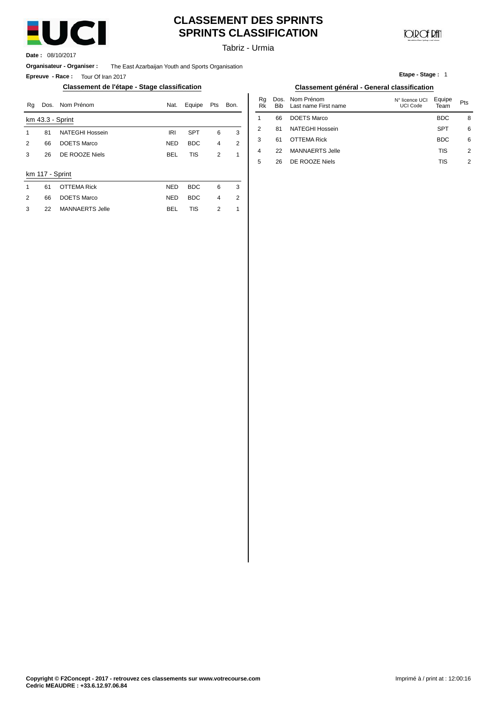

# **CLASSEMENT DES SPRINTS SPRINTS CLASSIFICATION**

Tabriz - Urmia

**Date :** 08/10/2017

**Organisateur - Organiser :** The East Azarbaijan Youth and Sports Organisation

**Epreuve - Race :** Tour Of Iran 2017

## **Classement de l'étape - Stage classification Classement général - General classification**

| Rg | Dos.            | Nom Prénom             | Nat.       | Equipe     | Pts            | Bon. | Rg<br>Rk | Dos.<br>Bib | Nom Prénom<br>Last name First name | N° licence UCI<br><b>UCI Code</b> | Equipe<br>Team | Pts |
|----|-----------------|------------------------|------------|------------|----------------|------|----------|-------------|------------------------------------|-----------------------------------|----------------|-----|
|    |                 | km 43.3 - Sprint       |            |            |                |      |          | 66          | <b>DOETS Marco</b>                 |                                   | <b>BDC</b>     | ε   |
|    | 81              | <b>NATEGHI Hossein</b> | IRI        | <b>SPT</b> | 6              | 3    | 2        | 81          | NATEGHI Hossein                    |                                   | <b>SPT</b>     | 6   |
| 2  | 66              | <b>DOETS Marco</b>     | <b>NED</b> | <b>BDC</b> | 4              | 2    | 3        | 61          | <b>OTTEMA Rick</b>                 |                                   | <b>BDC</b>     | 6   |
| 3  | 26              | DE ROOZE Niels         | <b>BEL</b> | <b>TIS</b> | $\overline{2}$ |      | 4        | 22          | <b>MANNAERTS Jelle</b>             |                                   | TIS            | 2   |
|    |                 |                        |            |            |                |      | 5        | 26          | DE ROOZE Niels                     |                                   | <b>TIS</b>     | 2   |
|    | km 117 - Sprint |                        |            |            |                |      |          |             |                                    |                                   |                |     |
| -1 | 61              | <b>OTTEMA Rick</b>     | <b>NED</b> | <b>BDC</b> | 6              | 3    |          |             |                                    |                                   |                |     |
| 2  | 66              | <b>DOETS Marco</b>     | <b>NED</b> | <b>BDC</b> | 4              | 2    |          |             |                                    |                                   |                |     |
| 3  | 22              | <b>MANNAERTS Jelle</b> | <b>BEL</b> | <b>TIS</b> | 2              |      |          |             |                                    |                                   |                |     |
|    |                 |                        |            |            |                |      |          |             |                                    |                                   |                |     |

| ation      | Classement général - General classification |      |                |                    |                                    |                                   |                |     |  |  |  |
|------------|---------------------------------------------|------|----------------|--------------------|------------------------------------|-----------------------------------|----------------|-----|--|--|--|
| Equipe     | Pts                                         | Bon. | Rg<br>Rk       | Dos.<br><b>Bib</b> | Nom Prénom<br>Last name First name | N° licence UCI<br><b>UCI Code</b> | Equipe<br>Team | Pts |  |  |  |
|            |                                             |      |                | 66                 | <b>DOETS Marco</b>                 |                                   | <b>BDC</b>     | 8   |  |  |  |
| <b>SPT</b> | 6                                           | 3    | 2              | 81                 | <b>NATEGHI Hossein</b>             |                                   | <b>SPT</b>     | 6   |  |  |  |
| <b>BDC</b> | $\overline{4}$                              | 2    | 3              | 61                 | <b>OTTEMA Rick</b>                 |                                   | <b>BDC</b>     | 6   |  |  |  |
| <b>TIS</b> | 2                                           | 1    | $\overline{4}$ | 22                 | <b>MANNAERTS Jelle</b>             |                                   | TIS            | 2   |  |  |  |
|            |                                             |      | 5              | 26                 | DE ROOZE Niels                     |                                   | TIS            | 2   |  |  |  |

**Etape - Stage :** 1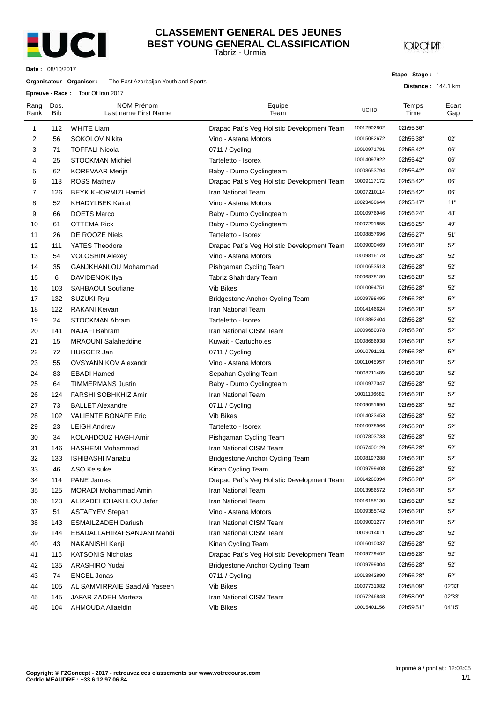

## Tabriz - Urmia **CLASSEMENT GENERAL DES JEUNES BEST YOUNG GENERAL CLASSIFICATION**

**JOROF RAT** 

**Date :** 08/10/2017

## **Organisateur - Organiser :** The East Azarbaijan Youth and Sports

**Epreuve - Race :** Tour Of Iran 2017

**Etape - Stage :** 1

**Distance :** 144.1 km

| Rang<br>Rank | Dos.<br><b>Bib</b> | NOM Prénom<br>Last name First Name | Equipe<br>Team                             | UCI ID      | Temps<br>Time | Ecart<br>Gap |
|--------------|--------------------|------------------------------------|--------------------------------------------|-------------|---------------|--------------|
| 1            | 112                | <b>WHITE Liam</b>                  | Drapac Pat's Veg Holistic Development Team | 10012902802 | 02h55'36"     |              |
| 2            | 56                 | <b>SOKOLOV Nikita</b>              | Vino - Astana Motors                       | 10015082672 | 02h55'38"     | 02"          |
| 3            | 71                 | <b>TOFFALI Nicola</b>              | 0711 / Cycling                             | 10010971791 | 02h55'42"     | 06"          |
| 4            | 25                 | <b>STOCKMAN Michiel</b>            | Tarteletto - Isorex                        | 10014097922 | 02h55'42"     | 06"          |
| 5            | 62                 | <b>KOREVAAR Merijn</b>             | Baby - Dump Cyclingteam                    | 10008653794 | 02h55'42"     | 06"          |
| 6            | 113                | <b>ROSS Mathew</b>                 | Drapac Pat's Veg Holistic Development Team | 10009117172 | 02h55'42"     | 06"          |
| 7            | 126                | BEYK KHORMIZI Hamid                | Iran National Team                         | 10007210114 | 02h55'42"     | 06"          |
| 8            | 52                 | <b>KHADYLBEK Kairat</b>            | Vino - Astana Motors                       | 10023460644 | 02h55'47"     | 11"          |
| 9            | 66                 | <b>DOETS Marco</b>                 | Baby - Dump Cyclingteam                    | 10010976946 | 02h56'24"     | 48"          |
| 10           | 61                 | <b>OTTEMA Rick</b>                 | Baby - Dump Cyclingteam                    | 10007291855 | 02h56'25"     | 49"          |
| 11           | 26                 | DE ROOZE Niels                     | Tarteletto - Isorex                        | 10008857696 | 02h56'27"     | 51"          |
| 12           | 111                | YATES Theodore                     | Drapac Pat's Veg Holistic Development Team | 10009000469 | 02h56'28"     | 52"          |
| 13           | 54                 | <b>VOLOSHIN Alexey</b>             | Vino - Astana Motors                       | 10009816178 | 02h56'28"     | 52"          |
| 14           | 35                 | GANJKHANLOU Mohammad               | Pishgaman Cycling Team                     | 10010653513 | 02h56'28"     | 52"          |
| 15           | 6                  | DAVIDENOK Ilya                     | Tabriz Shahrdary Team                      | 10006878189 | 02h56'28"     | 52"          |
| 16           | 103                | <b>SAHBAOUI Soufiane</b>           | Vib Bikes                                  | 10010094751 | 02h56'28"     | 52"          |
| 17           | 132                | SUZUKI Ryu                         | <b>Bridgestone Anchor Cycling Team</b>     | 10009798495 | 02h56'28"     | 52"          |
| 18           | 122                | RAKANI Keivan                      | <b>Iran National Team</b>                  | 10014146624 | 02h56'28"     | 52"          |
| 19           | 24                 | STOCKMAN Abram                     | Tarteletto - Isorex                        | 10013892404 | 02h56'28"     | 52"          |
| 20           | 141                | <b>NAJAFI Bahram</b>               | Iran National CISM Team                    | 10009680378 | 02h56'28"     | 52"          |
| 21           | 15                 | <b>MRAOUNI Salaheddine</b>         | Kuwait - Cartucho.es                       | 10008686938 | 02h56'28"     | 52"          |
| 22           | 72                 | <b>HUGGER Jan</b>                  | 0711 / Cycling                             | 10010791131 | 02h56'28"     | 52"          |
| 23           | 55                 | <b>OVSYANNIKOV Alexandr</b>        | Vino - Astana Motors                       | 10011045957 | 02h56'28"     | 52"          |
| 24           | 83                 | <b>EBADI Hamed</b>                 | Sepahan Cycling Team                       | 10008711489 | 02h56'28"     | 52"          |
| 25           | 64                 | <b>TIMMERMANS Justin</b>           | Baby - Dump Cyclingteam                    | 10010977047 | 02h56'28"     | 52"          |
| 26           | 124                | <b>FARSHI SOBHKHIZ Amir</b>        | Iran National Team                         | 10011106682 | 02h56'28"     | 52"          |
| 27           | 73                 | <b>BALLET Alexandre</b>            | 0711 / Cycling                             | 10009051696 | 02h56'28"     | 52"          |
| 28           | 102                | <b>VALIENTE BONAFE Eric</b>        | <b>Vib Bikes</b>                           | 10014023453 | 02h56'28"     | 52"          |
| 29           | 23                 | <b>LEIGH Andrew</b>                | Tarteletto - Isorex                        | 10010978966 | 02h56'28"     | 52"          |
| 30           | 34                 | KOLAHDOUZ HAGH Amir                | Pishgaman Cycling Team                     | 10007803733 | 02h56'28"     | 52"          |
| 31           | 146                | <b>HASHEMI Mohammad</b>            | Iran National CISM Team                    | 10067400129 | 02h56'28"     | 52"          |
| 32           | 133                | <b>ISHIBASHI Manabu</b>            | <b>Bridgestone Anchor Cycling Team</b>     | 10008197288 | 02h56'28"     | 52"          |
| 33           | 46                 | <b>ASO Keisuke</b>                 | Kinan Cycling Team                         | 10009799408 | 02h56'28"     | 52"          |
| 34           | 114                | <b>PANE James</b>                  | Drapac Pat's Veg Holistic Development Team | 10014260394 | 02h56'28"     | 52"          |
| 35           | 125                | <b>MORADI Mohammad Amin</b>        | Iran National Team                         | 10013986572 | 02h56'28"     | 52"          |
| 36           | 123                | ALIZADEHCHAKHLOU Jafar             | Iran National Team                         | 10016155130 | 02h56'28"     | 52"          |
| 37           | 51                 | <b>ASTAFYEV Stepan</b>             | Vino - Astana Motors                       | 10009385742 | 02h56'28"     | 52"          |
| 38           | 143                | <b>ESMAILZADEH Dariush</b>         | Iran National CISM Team                    | 10009001277 | 02h56'28"     | 52"          |
| 39           | 144                | EBADALLAHIRAFSANJANI Mahdi         | Iran National CISM Team                    | 10009014011 | 02h56'28"     | 52"          |
| 40           | 43                 | NAKANISHI Kenji                    | Kinan Cycling Team                         | 10016010337 | 02h56'28"     | 52"          |
| 41           | 116                | <b>KATSONIS Nicholas</b>           | Drapac Pat's Veg Holistic Development Team | 10009779402 | 02h56'28"     | 52"          |
| 42           | 135                | ARASHIRO Yudai                     | Bridgestone Anchor Cycling Team            | 10009799004 | 02h56'28"     | 52"          |
| 43           | 74                 | <b>ENGEL Jonas</b>                 | 0711 / Cycling                             | 10013842890 | 02h56'28"     | 52"          |
| 44           | 105                | AL SAMMIRRAIE Saad Ali Yaseen      | Vib Bikes                                  | 10007731082 | 02h58'09"     | 02'33"       |
| 45           | 145                | JAFAR ZADEH Morteza                | Iran National CISM Team                    | 10067246848 | 02h58'09"     | 02'33"       |
| 46           | 104                | AHMOUDA Allaeldin                  | Vib Bikes                                  | 10015401156 | 02h59'51"     | 04'15"       |
|              |                    |                                    |                                            |             |               |              |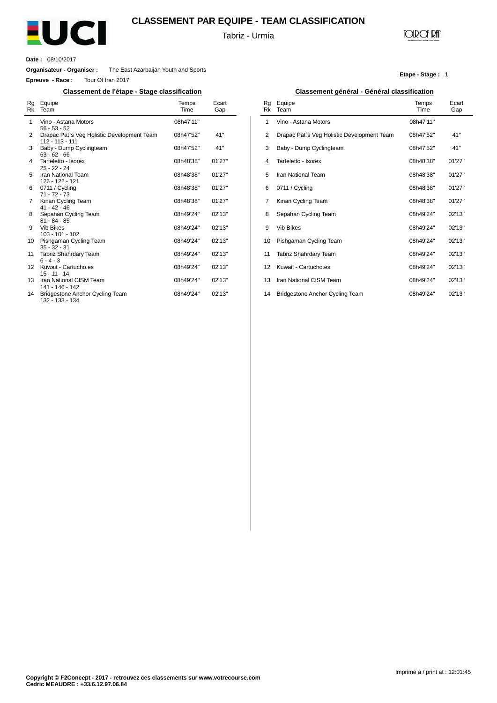

# **CLASSEMENT PAR EQUIPE - TEAM CLASSIFICATION**

Tabriz - Urmia

# **JOIR OF RATI**

**Etape - Stage :** 1

**Date :** 08/10/2017

 $\overline{a}$ 

**Organisateur - Organiser :** The East Azarbaijan Youth and Sports

**Epreuve - Race :** Tour Of Iran 2017

## **Classement de l'étape - Stage classification Classement général - Général classification**

| Rg<br>Rk          | Equipe<br>Team                                                | Temps<br>Time | Ecart<br>Gap |
|-------------------|---------------------------------------------------------------|---------------|--------------|
| 1                 | Vino - Astana Motors<br>$56 - 53 - 52$                        | 08h47'11"     |              |
| 2                 | Drapac Pat's Veg Holistic Development Team<br>112 - 113 - 111 | 08h47'52"     | 41"          |
| 3                 | Baby - Dump Cyclingteam<br>$63 - 62 - 66$                     | 08h47'52"     | 41"          |
| 4                 | Tarteletto - Isorex<br>$25 - 22 - 24$                         | 08h48'38"     | 01'27"       |
| 5                 | Iran National Team<br>126 - 122 - 121                         | 08h48'38"     | 01'27"       |
| 6                 | 0711 / Cycling<br>$71 - 72 - 73$                              | 08h48'38"     | 01'27"       |
| 7                 | Kinan Cycling Team<br>$41 - 42 - 46$                          | 08h48'38"     | 01'27"       |
| 8                 | Sepahan Cycling Team<br>$81 - 84 - 85$                        | 08h49'24"     | 02'13"       |
| 9                 | <b>Vib Bikes</b><br>103 - 101 - 102                           | 08h49'24"     | 02'13"       |
| 10                | Pishgaman Cycling Team<br>$35 - 32 - 31$                      | 08h49'24"     | 02'13"       |
| 11                | Tabriz Shahrdary Team<br>$6 - 4 - 3$                          | 08h49'24"     | 02'13''      |
| $12 \overline{ }$ | Kuwait - Cartucho.es<br>$15 - 11 - 14$                        | 08h49'24"     | 02'13"       |
| 13                | Iran National CISM Team<br>141 - 146 - 142                    | 08h49'24"     | 02'13"       |
| 14                | Bridgestone Anchor Cycling Team<br>132 - 133 - 134            | 08h49'24"     | 02'13"       |

| Rg<br>Rk | Equipe<br>Team                             | Temps<br>Time | Ecart<br>Gap |
|----------|--------------------------------------------|---------------|--------------|
| 1        | Vino - Astana Motors                       | 08h47'11"     |              |
| 2        | Drapac Pat's Veg Holistic Development Team | 08h47'52"     | 41"          |
| 3        | Baby - Dump Cyclingteam                    | 08h47'52"     | 41"          |
| 4        | Tarteletto - Isorex                        | 08h48'38"     | 01'27"       |
| 5        | <b>Iran National Team</b>                  | 08h48'38"     | 01'27"       |
| 6        | 0711 / Cycling                             | 08h48'38"     | 01'27"       |
| 7        | Kinan Cycling Team                         | 08h48'38"     | 01'27"       |
| 8        | Sepahan Cycling Team                       | 08h49'24"     | 02'13"       |
| 9        | <b>Vib Bikes</b>                           | 08h49'24"     | 02'13"       |
| 10       | Pishgaman Cycling Team                     | 08h49'24"     | 02'13"       |
| 11       | Tabriz Shahrdary Team                      | 08h49'24"     | 02'13"       |
| 12       | Kuwait - Cartucho.es                       | 08h49'24"     | 02'13"       |
| 13       | Iran National CISM Team                    | 08h49'24"     | 02'13"       |
| 14       | <b>Bridgestone Anchor Cycling Team</b>     | 08h49'24"     | 02'13"       |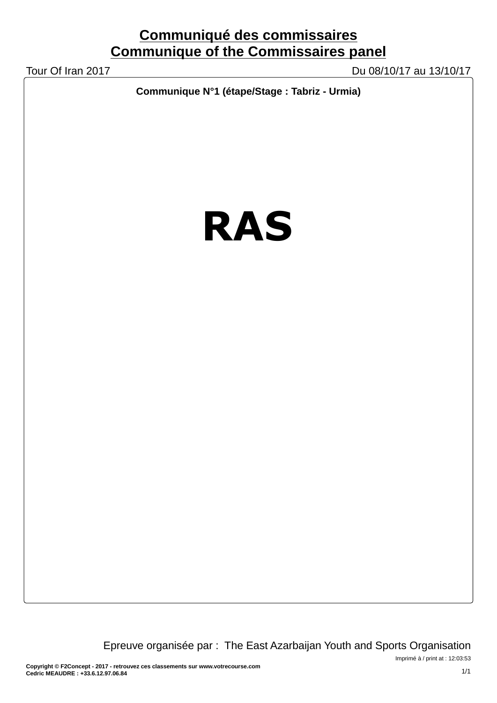Tour Of Iran 2017 Du 08/10/17 au 13/10/17

**Communique N°1 (étape/Stage : Tabriz - Urmia)**

# **RAS**

Epreuve organisée par : The East Azarbaijan Youth and Sports Organisation

Imprimé à / print at : 12:03:53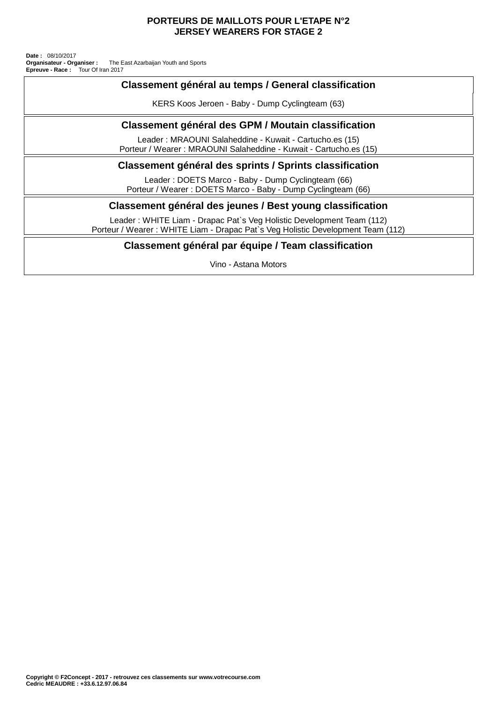## **PORTEURS DE MAILLOTS POUR L'ETAPE N°2 JERSEY WEARERS FOR STAGE 2**

**Epreuve - Race:** Tour Of Iran 2017 The East Azarbaijan Youth and Sports **Date :** 08/10/2017 **Organisateur - Organiser :**

## **Classement général au temps / General classification**

KERS Koos Jeroen - Baby - Dump Cyclingteam (63)

# **Classement général des GPM / Moutain classification**

Leader : MRAOUNI Salaheddine - Kuwait - Cartucho.es (15) Porteur / Wearer : MRAOUNI Salaheddine - Kuwait - Cartucho.es (15)

## **Classement général des sprints / Sprints classification**

Leader : DOETS Marco - Baby - Dump Cyclingteam (66) Porteur / Wearer : DOETS Marco - Baby - Dump Cyclingteam (66)

## **Classement général des jeunes / Best young classification**

Leader : WHITE Liam - Drapac Pat`s Veg Holistic Development Team (112) Porteur / Wearer : WHITE Liam - Drapac Pat`s Veg Holistic Development Team (112)

## **Classement général par équipe / Team classification**

Vino - Astana Motors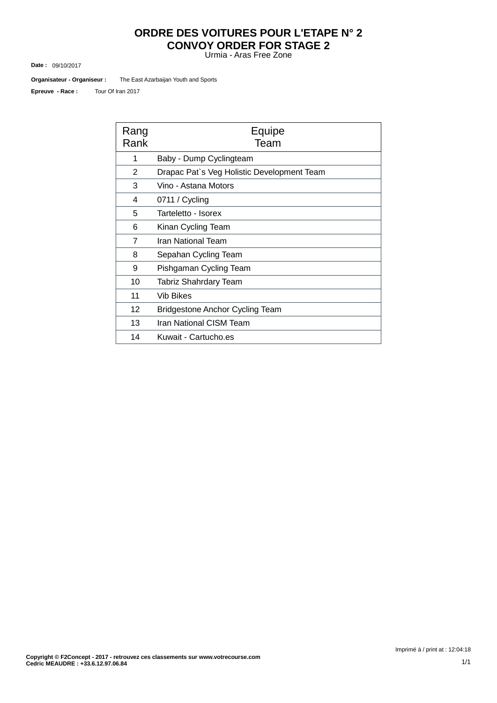# **ORDRE DES VOITURES POUR L'ETAPE N° 2 CONVOY ORDER FOR STAGE 2**

Urmia - Aras Free Zone

09/10/2017 **Date :**

The East Azarbaijan Youth and Sports **Organisateur - Organiseur :**

Tour Of Iran 2017 **Epreuve - Race :**

| Rang<br>Rank | Equipe<br>Team                             |  |  |  |  |  |
|--------------|--------------------------------------------|--|--|--|--|--|
| 1            | Baby - Dump Cyclingteam                    |  |  |  |  |  |
| 2            | Drapac Pat's Veg Holistic Development Team |  |  |  |  |  |
| 3            | Vino - Astana Motors                       |  |  |  |  |  |
| 4            | 0711 / Cycling                             |  |  |  |  |  |
| 5            | Tarteletto - Isorex                        |  |  |  |  |  |
| 6            | Kinan Cycling Team                         |  |  |  |  |  |
| 7            | Iran National Team                         |  |  |  |  |  |
| 8            | Sepahan Cycling Team                       |  |  |  |  |  |
| 9            | Pishgaman Cycling Team                     |  |  |  |  |  |
| 10           | <b>Tabriz Shahrdary Team</b>               |  |  |  |  |  |
| 11           | Vib Bikes                                  |  |  |  |  |  |
| 12           | Bridgestone Anchor Cycling Team            |  |  |  |  |  |
| 13           | Iran National CISM Team                    |  |  |  |  |  |
| 14           | Kuwait - Cartucho.es                       |  |  |  |  |  |